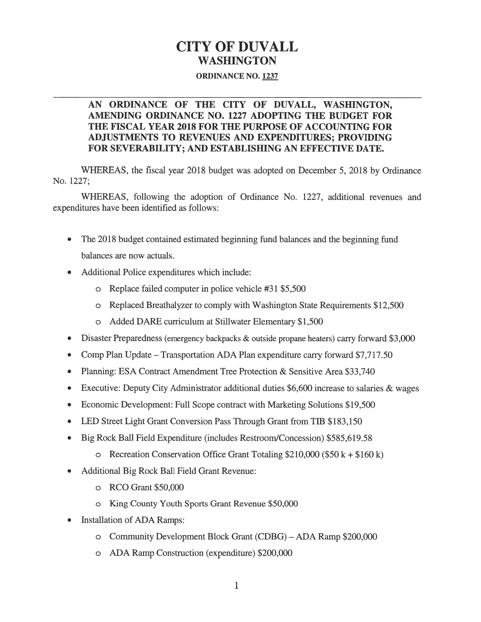# CITY OF DUVALL WASHINGTON

#### ORDINANCE NO. 1237

### AN ORDINANCE Of THE CITY Of DUVALL, WASHINGTON, AMENDING ORDINANCE NO. 1227 ADOPTING THE BUDGET FOR THE FISCAL YEAR 2018 FOR THE PURPOSE OF ACCOUNTING FOR ADJUSTMENTS TO REVENUES AND EXPENDITURES; PROVIDING FOR SEVERABILITY; AND ESTABLISHING AN EFFECTIVE DATE.

WHEREAS, the fiscal year <sup>2018</sup> budget was adopted on December 5, <sup>2018</sup> by Ordinance No. 1227;

WHEREAS, following the adoption of Ordinance No. 1227, additional revenues and expenditures have been identified as follows:

- . The 2018 budget contained estimated beginning fund balances and the beginning fund balances are now actuals.
- . Additional Police expenditures which include:
	- o Replace failed computer in police vehicle #31 \$5,500
	- <sup>0</sup> Replaced Breathalyzer to comply with Washington State Requirements \$12,500
	- <sup>0</sup> Added DARE curriculum at Stillwater Elementary \$1,500
- . Disaster Preparedness (emergency backpacks & outside propane heaters) carry forward \$3,000
- . Comp Plan Update Transportation ADA Plan expenditure carry forward \$7,717.50
- . Planning: ESA Contract Amendment Tree Protection & Sensitive Area \$33,740
- . Executive: Deputy City Administrator additional duties \$6,600 increase to salaries & wages
- . Economic Development: Full Scope contract with Marketing Solutions \$19,500
- LED Street Light Grant Conversion Pass Through Grant from TIB \$183,150
- . Big Rock Ball Field Expenditure (includes RestroomlConcession) \$585,619.58
	- o Recreation Conservation Office Grant Totaling  $$210,000$  (\$50 k + \$160 k)
- . Additional Big Rock Ball Field Grant Revenue:
	- <sup>0</sup> RCOGrant\$50,000
	- <sup>0</sup> King County Youth Sports Grant Revenue \$50,000
- . Installation of ADA Ramps:
	- <sup>0</sup> Community Development Block Grant (CDBG) ADA Ramp \$200,000
	- <sup>0</sup> ADA Ramp Construction (expenditure) \$200,000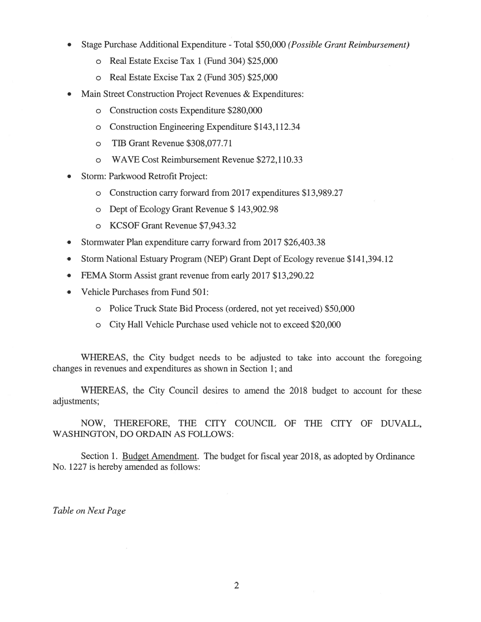- Stage Purchase Additional Expenditure Total \$50,000 (Possible Grant Reimbursement)
	- o Real Estate Excise Tax 1 (Fund 304) \$25,000
	- o Real Estate Excise Tax 2 (Fund 305) \$25,000
- Main Street Construction Project Revenues & Expenditures:
	- Construction costs Expenditure \$280,000  $\circ$
	- Construction Engineering Expenditure \$143,112.34  $\circ$
	- TIB Grant Revenue \$308,077.71  $\circ$
	- WAVE Cost Reimbursement Revenue \$272,110.33  $\circ$
- Storm: Parkwood Retrofit Project:
	- o Construction carry forward from 2017 expenditures \$13,989.27
	- o Dept of Ecology Grant Revenue \$143,902.98
	- o KCSOF Grant Revenue \$7,943.32
- Stormwater Plan expenditure carry forward from 2017 \$26,403.38  $\bullet$
- Storm National Estuary Program (NEP) Grant Dept of Ecology revenue \$141,394.12  $\bullet$
- FEMA Storm Assist grant revenue from early 2017 \$13,290.22  $\bullet$
- Vehicle Purchases from Fund 501:
	- o Police Truck State Bid Process (ordered, not yet received) \$50,000
	- o City Hall Vehicle Purchase used vehicle not to exceed \$20,000

WHEREAS, the City budget needs to be adjusted to take into account the foregoing changes in revenues and expenditures as shown in Section 1; and

WHEREAS, the City Council desires to amend the 2018 budget to account for these adjustments;

NOW, THEREFORE, THE CITY COUNCIL OF THE CITY OF DUVALL, WASHINGTON, DO ORDAIN AS FOLLOWS:

Section 1. Budget Amendment. The budget for fiscal year 2018, as adopted by Ordinance No. 1227 is hereby amended as follows:

Table on Next Page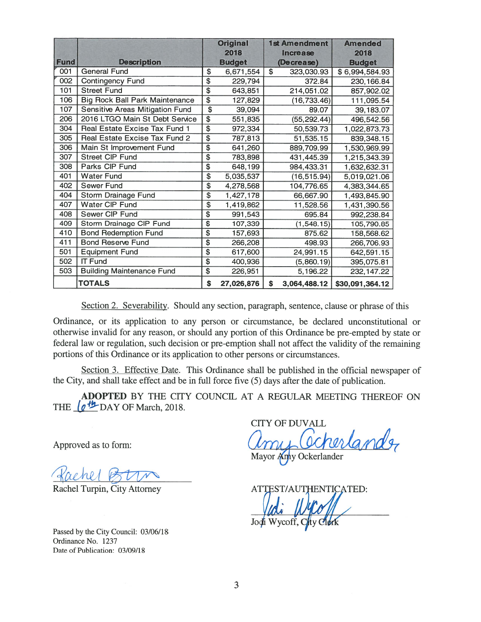|             |                                       |                           | <b>Original</b> |                         | <b>1st Amendment</b> | <b>Amended</b>  |  |
|-------------|---------------------------------------|---------------------------|-----------------|-------------------------|----------------------|-----------------|--|
|             |                                       |                           | 2018            |                         | <b>Increase</b>      | 2018            |  |
| <b>Fund</b> | <b>Description</b>                    |                           | <b>Budget</b>   |                         | (Decrease)           | <b>Budget</b>   |  |
| 001         | <b>General Fund</b>                   | \$                        | 6,671,554       | $\overline{\mathbb{S}}$ | 323,030.93           | \$6,994,584.93  |  |
| 002         | <b>Contingency Fund</b>               | $\overline{\mathcal{L}}$  | 229,794         |                         | 372.84               | 230, 166.84     |  |
| 101         | <b>Street Fund</b>                    | $\overline{\mathfrak{s}}$ | 643,851         |                         | 214,051.02           | 857,902.02      |  |
| 106         | <b>Big Rock Ball Park Maintenance</b> | $\overline{\$}$           | 127,829         |                         | (16, 733.46)         | 111,095.54      |  |
| 107         | Sensitive Areas Mitigation Fund       | $\overline{\$}$           | 39,094          |                         | 89.07                | 39,183.07       |  |
| 206         | 2016 LTGO Main St Debt Service        | $\overline{\$}$           | 551,835         |                         | (55, 292.44)         | 496,542.56      |  |
| 304         | Real Estate Excise Tax Fund 1         | $\overline{\$}$           | 972,334         |                         | 50,539.73            | 1,022,873.73    |  |
| 305         | Real Estate Excise Tax Fund 2         | $\overline{\$}$           | 787,813         |                         | 51,535.15            | 839,348.15      |  |
| 306         | Main St Improvement Fund              | $\overline{\$}$           | 641,260         |                         | 889,709.99           | 1,530,969.99    |  |
| 307         | <b>Street CIP Fund</b>                | $\overline{\mathcal{S}}$  | 783,898         |                         | 431,445.39           | 1,215,343.39    |  |
| 308         | Parks CIP Fund                        | $\overline{\$}$           | 648,199         |                         | 984,433.31           | 1,632,632.31    |  |
| 401         | <b>Water Fund</b>                     | $\overline{\$}$           | 5,035,537       |                         | (16, 515.94)         | 5,019,021.06    |  |
| 402         | Sewer Fund                            | $\overline{\$}$           | 4,278,568       |                         | 104,776.65           | 4,383,344.65    |  |
| 404         | Storm Drainage Fund                   | \$                        | 1,427,178       |                         | 66,667.90            | 1,493,845.90    |  |
| 407         | <b>Water CIP Fund</b>                 | $\overline{\mathfrak{s}}$ | 1,419,862       |                         | 11,528.56            | 1,431,390.56    |  |
| 408         | Sewer CIP Fund                        | $\overline{\$}$           | 991,543         |                         | 695.84               | 992,238.84      |  |
| 409         | Storm Drainage CIP Fund               | $\overline{\$}$           | 107,339         |                         | (1, 548.15)          | 105,790.85      |  |
| 410         | <b>Bond Redemption Fund</b>           | $\overline{\$}$           | 157,693         |                         | 875.62               | 158,568.62      |  |
| 411         | <b>Bond Reserve Fund</b>              | \$                        | 266,208         |                         | 498.93               | 266,706.93      |  |
| 501         | <b>Equipment Fund</b>                 | $\overline{\$}$           | 617,600         |                         | 24,991.15            | 642,591.15      |  |
| 502         | <b>IT Fund</b>                        | $\overline{\$}$           | 400,936         |                         | (5,860.19)           | 395,075.81      |  |
| 503         | <b>Building Maintenance Fund</b>      | \$                        | 226,951         |                         | 5,196.22             | 232, 147.22     |  |
|             | <b>TOTALS</b>                         | \$                        | 27,026,876      | \$                      | 3,064,488.12         | \$30,091,364.12 |  |

Section 2. Severability. Should any section, paragraph, sentence, clause or phrase of this

Ordinance, or its application to any person or circumstance, be declared unconstitutional or otherwise invalid for any reason, or should any portion of this Ordinance be pre-empted by state or federal law or regulation, such decision or pre-emption shall not affect the validity of the remaining portions of this Ordinance or its application to other persons or circumstances.

Section 3. Effective Date. This Ordinance shall be published in the official newspaper of the City, and shall take effect and be in full force five (5) days after the date of publication.

ADOPTED BY THE CITY COUNCIL AT A REGULAR MEETING THEREOF ON THE  $\sqrt{q}$ <sup>th</sup> DAY OF March, 2018.

Approved as to form

Kachel Bun

Passed by the City Council: 03/06/18 Ordinance No. 1237 Date of Publication: 03/09/18

CITY OF DUVALL rerlander Mayor Anny Ockerlander

Rachel Turpin, City Attorney ATTEST/AUTHENTICATED: Vedi Wycoll Wycoff,  $C_{\mu}$ ty  $C_{\mu}$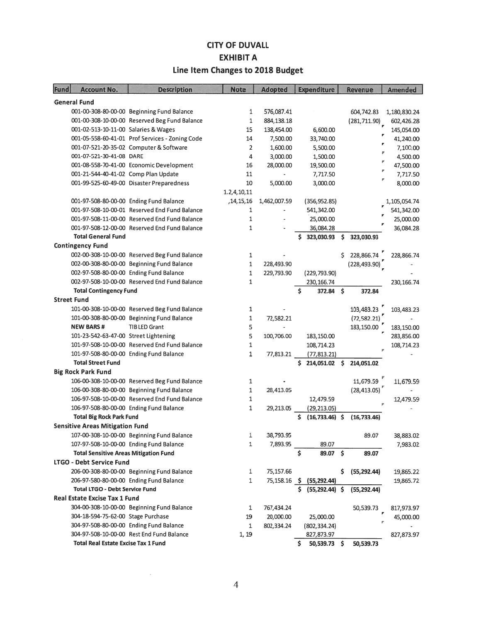## **CITY OF DUVALL EXHIBIT A** Line Item Changes to 2018 Budget

| Fund                                 | <b>Account No.</b>                           | <b>Description</b>                              | <b>Note</b>    | <b>Adopted</b> | <b>Expenditure</b>       | <b>Revenue</b>    | <b>Amended</b> |
|--------------------------------------|----------------------------------------------|-------------------------------------------------|----------------|----------------|--------------------------|-------------------|----------------|
|                                      | <b>General Fund</b>                          |                                                 |                |                |                          |                   |                |
|                                      |                                              | 001-00-308-80-00-00 Beginning Fund Balance      | 1              | 576,087.41     |                          | 604,742.83        | 1,180,830.24   |
|                                      |                                              | 001-00-308-10-00-00 Reserved Beg Fund Balance   | $\mathbf{1}$   | 884,138.18     |                          | (281, 711.90)     | 602,426.28     |
|                                      | 001-02-513-10-11-00 Salaries & Wages         |                                                 | 15             | 138,454.00     | 6,600.00                 |                   | 145,054.00     |
|                                      |                                              | 001-05-558-60-41-01 Prof Services - Zoning Code | 14             | 7,500.00       | 33,740.00                |                   | 41,240.00      |
|                                      |                                              | 001-07-521-20-35-02 Computer & Software         | $\overline{2}$ | 1,600.00       | 5,500.00                 |                   | 7,100.00       |
|                                      | 001-07-521-30-41-08 DARE                     |                                                 | 4              | 3,000.00       | 1,500.00                 |                   | 4,500.00       |
|                                      |                                              | 001-08-558-70-41-00 Economic Development        | 16             | 28,000.00      | 19,500.00                |                   | P<br>47,500.00 |
|                                      | 001-21-544-40-41-02 Comp Plan Update         |                                                 | 11             |                | 7,717.50                 |                   | v<br>7,717.50  |
|                                      |                                              | 001-99-525-60-49-00 Disaster Preparedness       | 10             | 5,000.00       | 3,000.00                 |                   | 8,000.00       |
|                                      |                                              |                                                 | 1.2, 4, 10, 11 |                |                          |                   |                |
|                                      |                                              | 001-97-508-80-00-00 Ending Fund Balance         | , 14, 15, 16   | 1,462,007.59   | (356, 952.85)            |                   | 1,105,054.74   |
|                                      |                                              | 001-97-508-10-00-01 Reserved End Fund Balance   | $\mathbf{1}$   |                | 541,342.00               |                   | 541,342.00     |
|                                      |                                              | 001-97-508-11-00-00 Reserved End Fund Balance   | $\mathbf{1}$   |                | 25,000.00                |                   | 25,000.00      |
|                                      |                                              | 001-97-508-12-00-00 Reserved End Fund Balance   | $\mathbf{1}$   |                | 36,084.28                |                   | 36,084.28      |
|                                      | <b>Total General Fund</b>                    |                                                 |                |                | 323,030.93               | \$<br>323,030.93  |                |
|                                      | <b>Contingency Fund</b>                      |                                                 |                |                |                          |                   |                |
|                                      |                                              | 002-00-308-10-00-00 Reserved Beg Fund Balance   | 1              |                |                          | Ś<br>228,866.74   | 228,866.74     |
|                                      |                                              | 002-00-308-80-00-00 Beginning Fund Balance      | $\mathbf{1}$   | 228,493.90     |                          | (228, 493.90)     |                |
|                                      |                                              | 002-97-508-80-00-00 Ending Fund Balance         | $\mathbf{1}$   | 229,793.90     | (229, 793.90)            |                   |                |
|                                      |                                              | 002-97-508-10-00-00 Reserved End Fund Balance   | $\mathbf{1}$   |                | 230, 166.74              |                   | 230, 166.74    |
|                                      | <b>Total Contingency Fund</b>                |                                                 |                |                | Ś<br>372.84              | \$<br>372.84      |                |
|                                      | <b>Street Fund</b>                           |                                                 |                |                |                          |                   |                |
|                                      |                                              | 101-00-308-10-00-00 Reserved Beg Fund Balance   | $\mathbf{1}$   |                |                          | 103,483.23        | 103,483.23     |
|                                      |                                              | 101-00-308-80-00-00 Beginning Fund Balance      | $\mathbf{1}$   | 72,582.21      |                          | (72, 582.21)      |                |
|                                      | <b>NEW BARS#</b>                             | <b>TIB LED Grant</b>                            | 5              |                |                          | 183,150.00        | 183,150.00     |
|                                      | 101-23-542-63-47-00 Street Lightening        |                                                 | 5              | 100,706.00     | 183,150.00               |                   | 283,856.00     |
|                                      |                                              | 101-97-508-10-00-00 Reserved End Fund Balance   | 1              |                | 108,714.23               |                   | 108,714.23     |
|                                      |                                              | 101-97-508-80-00-00 Ending Fund Balance         | $\mathbf{1}$   | 77,813.21      | (77, 813.21)             |                   |                |
|                                      | <b>Total Street Fund</b>                     |                                                 |                |                | \$.<br>214,051.02 \$     | 214,051.02        |                |
|                                      | <b>Big Rock Park Fund</b>                    |                                                 |                |                |                          |                   |                |
|                                      |                                              | 106-00-308-10-00-00 Reserved Beg Fund Balance   | 1              |                |                          | 11,679.59         | 11,679.59      |
|                                      |                                              | 106-00-308-80-00-00 Beginning Fund Balance      | $\mathbf{1}$   | 28,413.05      |                          | (28, 413.05)      |                |
|                                      |                                              | 106-97-508-10-00-00 Reserved End Fund Balance   | $\mathbf{1}$   |                | 12,479.59                |                   | 12,479.59      |
|                                      |                                              | 106-97-508-80-00-00 Ending Fund Balance         | $\mathbf{1}$   | 29,213.05      | (29, 213.05)             |                   |                |
|                                      | <b>Total Big Rock Park Fund</b>              |                                                 |                |                | \$<br>$(16, 733.46)$ \$  | (16, 733.46)      |                |
|                                      | <b>Sensitive Areas Mitigation Fund</b>       |                                                 |                |                |                          |                   |                |
|                                      |                                              | 107-00-308-10-00-00 Beginning Fund Balance      | 1              | 38,793.95      |                          | 89.07             | 38,883.02      |
|                                      |                                              | 107-97-508-10-00-00 Ending Fund Balance         | 1              | 7,893.95       | 89.07                    |                   | 7,983.02       |
|                                      | <b>Total Sensitive Areas Mitigation Fund</b> |                                                 |                |                | 89.07 \$<br>Ś.           | 89.07             |                |
| LTGO - Debt Service Fund             |                                              |                                                 |                |                |                          |                   |                |
|                                      |                                              | 206-00-308-80-00-00 Beginning Fund Balance      | 1              | 75,157.66      |                          | (55, 292.44)<br>s | 19,865.22      |
|                                      |                                              | 206-97-580-80-00-00 Ending Fund Balance         | 1              |                | 75,158.16 \$ (55,292.44) |                   | 19,865.72      |
|                                      | <b>Total LTGO - Debt Service Fund</b>        |                                                 |                |                | \$ (55, 292.44) \$       | (55, 292.44)      |                |
| <b>Real Estate Excise Tax 1 Fund</b> |                                              |                                                 |                |                |                          |                   |                |
|                                      |                                              | 304-00-308-10-00-00 Beginning Fund Balance      | 1              | 767,434.24     |                          | 50,539.73         | 817,973.97     |
|                                      | 304-18-594-75-62-00 Stage Purchase           |                                                 | 19             | 20,000.00      | 25,000.00                |                   | 45,000.00      |
|                                      |                                              | 304-97-508-80-00-00 Ending Fund Balance         | $\mathbf{1}$   | 802,334.24     | (802, 334.24)            |                   |                |
|                                      |                                              | 304-97-508-10-00-00 Rest End Fund Balance       | 1, 19          |                | 827,873.97               |                   | 827,873.97     |
|                                      | <b>Total Real Estate Excise Tax 1 Fund</b>   |                                                 |                |                | \$.<br>50,539.73 \$      | 50,539.73         |                |

 $\lambda$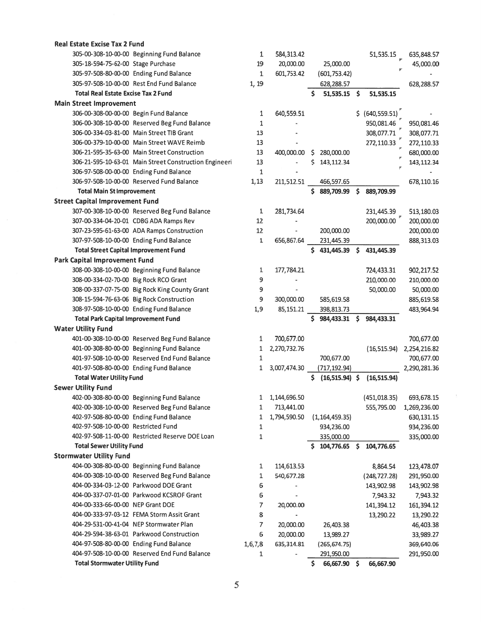| <b>Real Estate Excise Tax 2 Fund</b>                   |              |              |    |                  |                  |              |
|--------------------------------------------------------|--------------|--------------|----|------------------|------------------|--------------|
| 305-00-308-10-00-00 Beginning Fund Balance             | 1            | 584,313.42   |    |                  | 51,535.15        | 635,848.57   |
| 305-18-594-75-62-00 Stage Purchase                     | 19           | 20,000.00    |    | 25,000.00        |                  | 45,000.00    |
| 305-97-508-80-00-00 Ending Fund Balance                | $\mathbf{1}$ | 601,753.42   |    | (601, 753.42)    |                  |              |
| 305-97-508-10-00-00 Rest End Fund Balance              | 1, 19        |              |    | 628,288.57       |                  | 628,288.57   |
| <b>Total Real Estate Excise Tax 2 Fund</b>             |              |              | Ś. | 51,535.15 \$     | 51,535.15        |              |
| <b>Main Street Improvement</b>                         |              |              |    |                  |                  |              |
| 306-00-308-00-00-00 Begin Fund Balance                 | 1            | 640,559.51   |    |                  | \$ (640, 559.51) |              |
| 306-00-308-10-00-00 Reserved Beg Fund Balance          | $\mathbf{1}$ |              |    |                  | 950,081.46       | 950,081.46   |
| 306-00-334-03-81-00 Main Street TIB Grant              | 13           |              |    |                  | 308,077.71       | 308,077.71   |
| 306-00-379-10-00-00 Main Street WAVE Reimb             | 13           |              |    |                  | 272,110.33       | 272,110.33   |
| 306-21-595-35-63-00 Main Street Construction           | 13           | 400,000.00   | \$ | 280,000.00       |                  | 680,000.00   |
| 306-21-595-10-63-01 Main Street Construction Engineeri | 13           |              | Ś  | 143,112.34       |                  | 143, 112.34  |
| 306-97-508-00-00-00 Ending Fund Balance                | $\mathbf{1}$ |              |    |                  |                  |              |
| 306-97-508-10-00-00 Reserved Fund Balance              | 1,13         | 211,512.51   |    | 466,597.65       |                  | 678,110.16   |
| <b>Total Main St Improvement</b>                       |              |              |    | \$889,709.99     | \$<br>889,709.99 |              |
| <b>Street Capital Improvement Fund</b>                 |              |              |    |                  |                  |              |
| 307-00-308-10-00-00 Reserved Beg Fund Balance          | 1            | 281,734.64   |    |                  | 231,445.39       | 513,180.03   |
| 307-00-334-04-20-01 CDBG ADA Ramps Rev                 | 12           |              |    |                  | 200,000.00       | 200,000.00   |
| 307-23-595-61-63-00 ADA Ramps Construction             | 12           |              |    | 200,000.00       |                  | 200,000.00   |
| 307-97-508-10-00-00 Ending Fund Balance                | $\mathbf{1}$ | 656,867.64   |    | 231,445.39       |                  | 888,313.03   |
| <b>Total Street Capital Improvement Fund</b>           |              |              |    | \$431,445.39     | \$<br>431,445.39 |              |
| <b>Park Capital Improvement Fund</b>                   |              |              |    |                  |                  |              |
| 308-00-308-10-00-00 Beginning Fund Balance             | 1            | 177,784.21   |    |                  | 724,433.31       | 902,217.52   |
| 308-00-334-02-70-00 Big Rock RCO Grant                 | 9            |              |    |                  | 210,000.00       | 210,000.00   |
| 308-00-337-07-75-00 Big Rock King County Grant         | 9            |              |    |                  | 50,000.00        | 50,000.00    |
| 308-15-594-76-63-06 Big Rock Construction              | 9            | 300,000.00   |    | 585,619.58       |                  | 885,619.58   |
| 308-97-508-10-00-00 Ending Fund Balance                | 1,9          | 85,151.21    |    | 398,813.73       |                  | 483,964.94   |
| <b>Total Park Capital Improvement Fund</b>             |              |              |    | \$984,433.31     | \$<br>984,433.31 |              |
| <b>Water Utility Fund</b>                              |              |              |    |                  |                  |              |
| 401-00-308-10-00-00 Reserved Beg Fund Balance          | 1            | 700,677.00   |    |                  |                  | 700,677.00   |
| 401-00-308-80-00-00 Beginning Fund Balance             | 1            | 2,270,732.76 |    |                  | (16, 515.94)     | 2,254,216.82 |
| 401-97-508-10-00-00 Reserved End Fund Balance          | $\mathbf{1}$ |              |    | 700,677.00       |                  | 700,677.00   |
| 401-97-508-80-00-00 Ending Fund Balance                | 1            | 3,007,474.30 |    | (717, 192.94)    |                  | 2,290,281.36 |
| <b>Total Water Utility Fund</b>                        |              |              |    | $(16,515.94)$ \$ | (16, 515.94)     |              |
| <b>Sewer Utility Fund</b>                              |              |              |    |                  |                  |              |
| 402-00-308-80-00-00 Beginning Fund Balance             | 1            | 1,144,696.50 |    |                  | (451, 018.35)    | 693,678.15   |
| 402-00-308-10-00-00 Reserved Beg Fund Balance          | $\mathbf{1}$ | 713,441.00   |    |                  | 555,795.00       | 1,269,236.00 |
| 402-97-508-80-00-00 Ending Fund Balance                | 1            | 1,794,590.50 |    | (1, 164, 459.35) |                  | 630, 131.15  |
| 402-97-508-10-00-00 Restricted Fund                    | 1            |              |    | 934,236.00       |                  | 934,236.00   |
| 402-97-508-11-00-00 Restricted Reserve DOE Loan        | $\mathbf{1}$ |              |    | 335,000.00       |                  | 335,000.00   |
| <b>Total Sewer Utility Fund</b>                        |              |              |    | \$104,776.65     | 104,776.65       |              |
| <b>Stormwater Utility Fund</b>                         |              |              |    |                  |                  |              |
| 404-00-308-80-00-00 Beginning Fund Balance             | 1            | 114,613.53   |    |                  | 8,864.54         | 123,478.07   |
| 404-00-308-10-00-00 Reserved Beg Fund Balance          | 1            | 540,677.28   |    |                  | (248, 727.28)    | 291,950.00   |
| 404-00-334-03-12-00 Parkwood DOE Grant                 | 6            |              |    |                  | 143,902.98       | 143,902.98   |
| 404-00-337-07-01-00 Parkwood KCSROF Grant              | 6            |              |    |                  | 7,943.32         | 7,943.32     |
| 404-00-333-66-00-00 NEP Grant DOE                      | 7            | 20,000.00    |    |                  | 141,394.12       | 161,394.12   |
| 404-00-333-97-03-12 FEMA Storm Assit Grant             | 8            |              |    |                  | 13,290.22        | 13,290.22    |
| 404-29-531-00-41-04 NEP Stormwater Plan                | 7            | 20,000.00    |    | 26,403.38        |                  | 46,403.38    |
| 404-29-594-38-63-01 Parkwood Construction              | 6            | 20,000.00    |    | 13,989.27        |                  | 33,989.27    |
| 404-97-508-80-00-00 Ending Fund Balance                | 1,6,7,8      | 635,314.81   |    | (265, 674.75)    |                  | 369,640.06   |
| 404-97-508-10-00-00 Reserved End Fund Balance          | $\mathbf{1}$ |              |    | 291,950.00       |                  | 291,950.00   |
| <b>Total Stormwater Utility Fund</b>                   |              |              | \$ | 66,667.90 \$     | 66,667.90        |              |